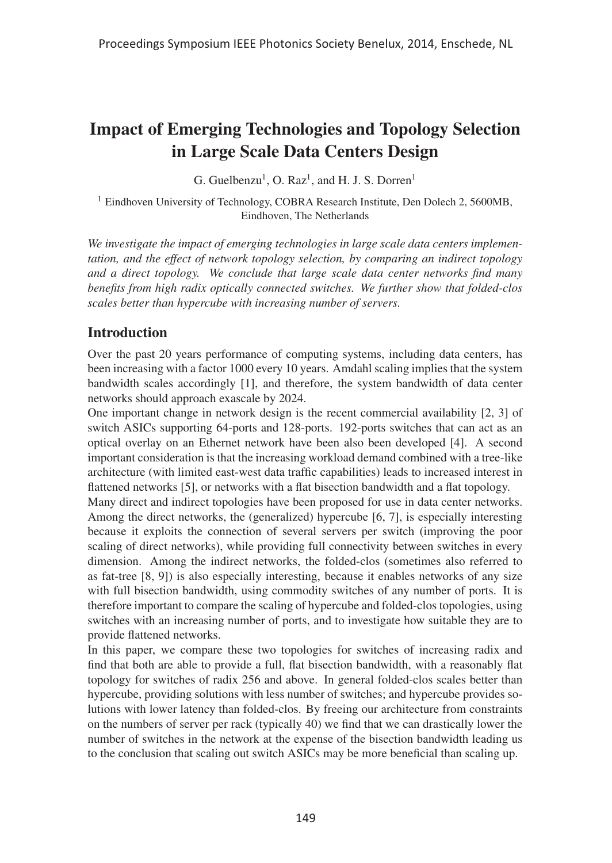# Impact of Emerging Technologies and Topology Selection in Large Scale Data Centers Design

G. Guelbenzu<sup>1</sup>, O. Raz<sup>1</sup>, and H. J. S. Dorren<sup>1</sup>

<sup>1</sup> Eindhoven University of Technology, COBRA Research Institute, Den Dolech 2, 5600MB, Eindhoven, The Netherlands

*We investigate the impact of emerging technologies in large scale data centers implementation, and the effect of network topology selection, by comparing an indirect topology and a direct topology. We conclude that large scale data center networks find many benefits from high radix optically connected switches. We further show that folded-clos scales better than hypercube with increasing number of servers.*

# **Introduction**

Over the past 20 years performance of computing systems, including data centers, has been increasing with a factor 1000 every 10 years. Amdahl scaling implies that the system bandwidth scales accordingly [1], and therefore, the system bandwidth of data center networks should approach exascale by 2024.

One important change in network design is the recent commercial availability [2, 3] of switch ASICs supporting 64-ports and 128-ports. 192-ports switches that can act as an optical overlay on an Ethernet network have been also been developed [4]. A second important consideration is that the increasing workload demand combined with a tree-like architecture (with limited east-west data traffic capabilities) leads to increased interest in flattened networks [5], or networks with a flat bisection bandwidth and a flat topology.

Many direct and indirect topologies have been proposed for use in data center networks. Among the direct networks, the (generalized) hypercube [6, 7], is especially interesting because it exploits the connection of several servers per switch (improving the poor scaling of direct networks), while providing full connectivity between switches in every dimension. Among the indirect networks, the folded-clos (sometimes also referred to as fat-tree [8, 9]) is also especially interesting, because it enables networks of any size with full bisection bandwidth, using commodity switches of any number of ports. It is therefore important to compare the scaling of hypercube and folded-clos topologies, using switches with an increasing number of ports, and to investigate how suitable they are to provide flattened networks.

In this paper, we compare these two topologies for switches of increasing radix and find that both are able to provide a full, flat bisection bandwidth, with a reasonably flat topology for switches of radix 256 and above. In general folded-clos scales better than hypercube, providing solutions with less number of switches; and hypercube provides solutions with lower latency than folded-clos. By freeing our architecture from constraints on the numbers of server per rack (typically 40) we find that we can drastically lower the number of switches in the network at the expense of the bisection bandwidth leading us to the conclusion that scaling out switch ASICs may be more beneficial than scaling up.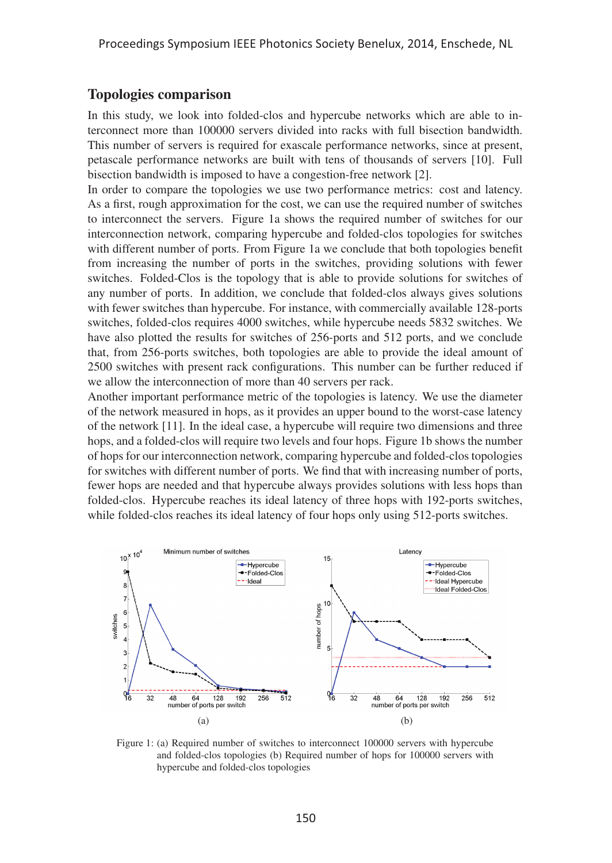# Topologies comparison

In this study, we look into folded-clos and hypercube networks which are able to interconnect more than 100000 servers divided into racks with full bisection bandwidth. This number of servers is required for exascale performance networks, since at present, petascale performance networks are built with tens of thousands of servers [10]. Full bisection bandwidth is imposed to have a congestion-free network [2].

In order to compare the topologies we use two performance metrics: cost and latency. As a first, rough approximation for the cost, we can use the required number of switches to interconnect the servers. Figure 1a shows the required number of switches for our interconnection network, comparing hypercube and folded-clos topologies for switches with different number of ports. From Figure 1a we conclude that both topologies benefit from increasing the number of ports in the switches, providing solutions with fewer switches. Folded-Clos is the topology that is able to provide solutions for switches of any number of ports. In addition, we conclude that folded-clos always gives solutions with fewer switches than hypercube. For instance, with commercially available 128-ports switches, folded-clos requires 4000 switches, while hypercube needs 5832 switches. We have also plotted the results for switches of 256-ports and 512 ports, and we conclude that, from 256-ports switches, both topologies are able to provide the ideal amount of 2500 switches with present rack configurations. This number can be further reduced if we allow the interconnection of more than 40 servers per rack.

Another important performance metric of the topologies is latency. We use the diameter of the network measured in hops, as it provides an upper bound to the worst-case latency of the network [11]. In the ideal case, a hypercube will require two dimensions and three hops, and a folded-clos will require two levels and four hops. Figure 1b shows the number of hops for our interconnection network, comparing hypercube and folded-clos topologies for switches with different number of ports. We find that with increasing number of ports, fewer hops are needed and that hypercube always provides solutions with less hops than folded-clos. Hypercube reaches its ideal latency of three hops with 192-ports switches, while folded-clos reaches its ideal latency of four hops only using 512-ports switches.



Figure 1: (a) Required number of switches to interconnect 100000 servers with hypercube and folded-clos topologies (b) Required number of hops for 100000 servers with hypercube and folded-clos topologies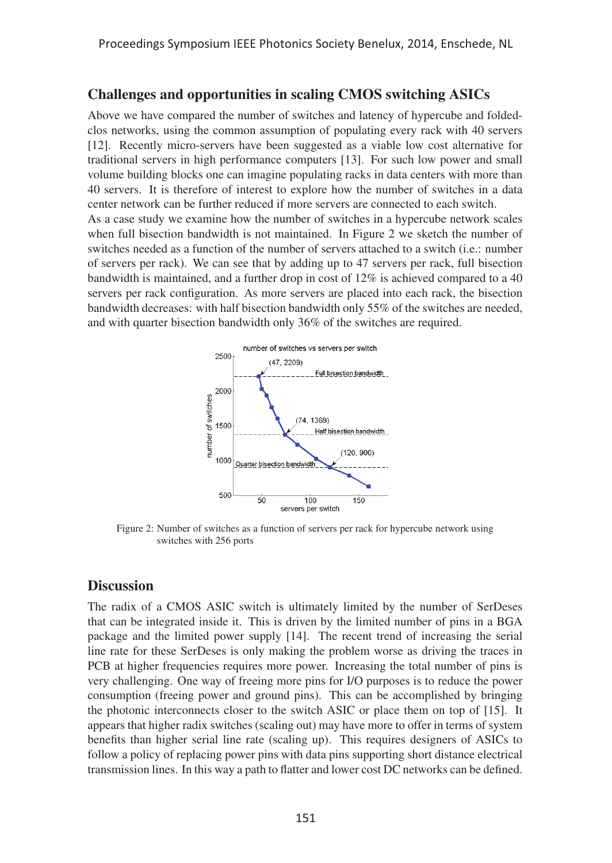# Challenges and opportunities in scaling CMOS switching ASICs

Above we have compared the number of switches and latency of hypercube and foldedclos networks, using the common assumption of populating every rack with 40 servers [12]. Recently micro-servers have been suggested as a viable low cost alternative for traditional servers in high performance computers [13]. For such low power and small volume building blocks one can imagine populating racks in data centers with more than 40 servers. It is therefore of interest to explore how the number of switches in a data center network can be further reduced if more servers are connected to each switch. As a case study we examine how the number of switches in a hypercube network scales when full bisection bandwidth is not maintained. In Figure 2 we sketch the number of switches needed as a function of the number of servers attached to a switch (i.e.: number of servers per rack). We can see that by adding up to 47 servers per rack, full bisection bandwidth is maintained, and a further drop in cost of 12% is achieved compared to a 40 servers per rack configuration. As more servers are placed into each rack, the bisection bandwidth decreases: with half bisection bandwidth only 55% of the switches are needed, and with quarter bisection bandwidth only 36% of the switches are required.



Figure 2: Number of switches as a function of servers per rack for hypercube network using switches with 256 ports

#### **Discussion**

The radix of a CMOS ASIC switch is ultimately limited by the number of SerDeses that can be integrated inside it. This is driven by the limited number of pins in a BGA package and the limited power supply [14]. The recent trend of increasing the serial line rate for these SerDeses is only making the problem worse as driving the traces in PCB at higher frequencies requires more power. Increasing the total number of pins is very challenging. One way of freeing more pins for I/O purposes is to reduce the power consumption (freeing power and ground pins). This can be accomplished by bringing the photonic interconnects closer to the switch ASIC or place them on top of [15]. It appears that higher radix switches (scaling out) may have more to offer in terms of system benefits than higher serial line rate (scaling up). This requires designers of ASICs to follow a policy of replacing power pins with data pins supporting short distance electrical transmission lines. In this way a path to flatter and lower cost DC networks can be defined.